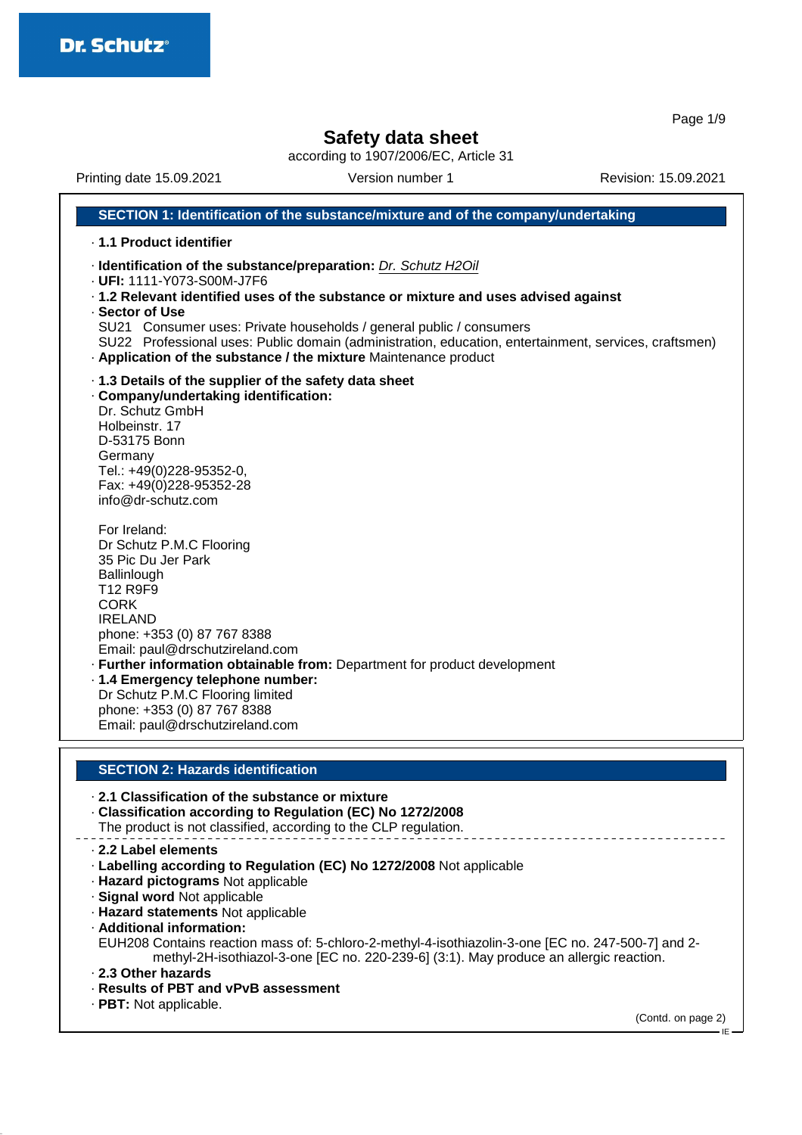Page 1/9

## **Safety data sheet**

according to 1907/2006/EC, Article 31

Printing date 15.09.2021 Version number 1 Revision: 15.09.2021 **SECTION 1: Identification of the substance/mixture and of the company/undertaking** · **1.1 Product identifier** · **Identification of the substance/preparation:** Dr. Schutz H2Oil · **UFI:** 1111-Y073-S00M-J7F6 · **1.2 Relevant identified uses of the substance or mixture and uses advised against** · **Sector of Use** SU21 Consumer uses: Private households / general public / consumers SU22 Professional uses: Public domain (administration, education, entertainment, services, craftsmen) · **Application of the substance / the mixture** Maintenance product · **1.3 Details of the supplier of the safety data sheet** · **Company/undertaking identification:** Dr. Schutz GmbH Holbeinstr. 17 D-53175 Bonn Germany Tel.: +49(0)228-95352-0, Fax: +49(0)228-95352-28 info@dr-schutz.com For Ireland: Dr Schutz P.M.C Flooring 35 Pic Du Jer Park **Ballinlough** T12 R9F9 CORK IRELAND phone: +353 (0) 87 767 8388 Email: paul@drschutzireland.com · **Further information obtainable from:** Department for product development · **1.4 Emergency telephone number:** Dr Schutz P.M.C Flooring limited phone: +353 (0) 87 767 8388 Email: paul@drschutzireland.com **SECTION 2: Hazards identification** · **2.1 Classification of the substance or mixture**

· **Classification according to Regulation (EC) No 1272/2008** The product is not classified, according to the CLP regulation.

- · **2.2 Label elements**
- · **Labelling according to Regulation (EC) No 1272/2008** Not applicable
- · **Hazard pictograms** Not applicable
- · **Signal word** Not applicable
- · **Hazard statements** Not applicable
- · **Additional information:**

EUH208 Contains reaction mass of: 5-chloro-2-methyl-4-isothiazolin-3-one [EC no. 247-500-7] and 2 methyl-2H-isothiazol-3-one [EC no. 220-239-6] (3:1). May produce an allergic reaction.

- · **2.3 Other hazards**
- · **Results of PBT and vPvB assessment**
- · **PBT:** Not applicable.

(Contd. on page 2)

IE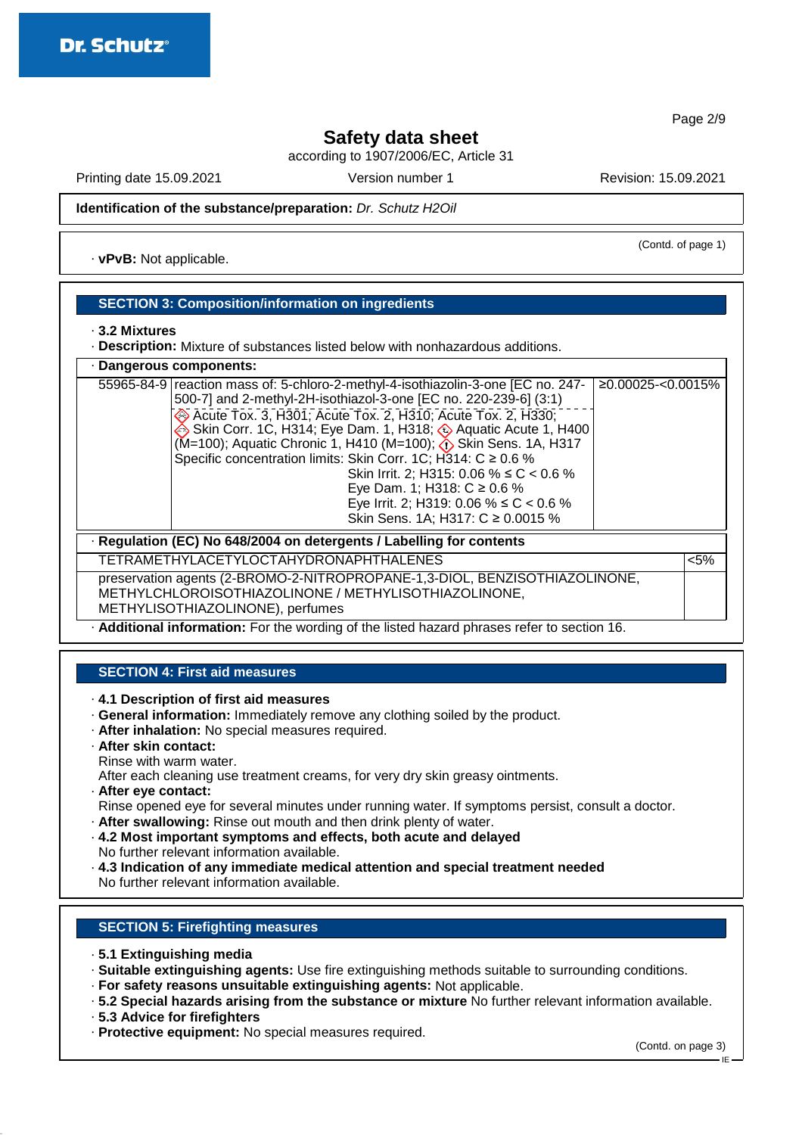Page 2/9

## **Safety data sheet**

according to 1907/2006/EC, Article 31

Printing date 15.09.2021 Version number 1 Revision: 15.09.2021

(Contd. of page 1)

**Identification of the substance/preparation:** Dr. Schutz H2Oil

· **vPvB:** Not applicable.

## **SECTION 3: Composition/information on ingredients**

#### · **3.2 Mixtures**

· **Description:** Mixture of substances listed below with nonhazardous additions.

| · Dangerous components:                                              |                                                                                                                                                                                                                                                                                                                                                                                                                                                                                                                                                                                                     |                   |  |  |
|----------------------------------------------------------------------|-----------------------------------------------------------------------------------------------------------------------------------------------------------------------------------------------------------------------------------------------------------------------------------------------------------------------------------------------------------------------------------------------------------------------------------------------------------------------------------------------------------------------------------------------------------------------------------------------------|-------------------|--|--|
|                                                                      | 55965-84-9 reaction mass of: 5-chloro-2-methyl-4-isothiazolin-3-one [EC no. 247-<br>500-7] and 2-methyl-2H-isothiazol-3-one [EC no. 220-239-6] (3:1)<br>Acute Tox. 3, H301; Acute Tox. 2, H310; Acute Tox. 2, H330;<br>Skin Corr. 1C, H314; Eye Dam. 1, H318; Aquatic Acute 1, H400<br>(M=100); Aquatic Chronic 1, H410 (M=100); $\zeta$ Skin Sens. 1A, H317<br>Specific concentration limits: Skin Corr. 1C; H314: $C \ge 0.6$ %<br>Skin Irrit. 2; H315: 0.06 % $\leq C$ < 0.6 %<br>Eye Dam. 1; H318: $C \ge 0.6$ %<br>Eye Irrit. 2; H319: 0.06 % ≤ C < 0.6 %<br>Skin Sens. 1A; H317: C ≥ 0.0015 % | ≥0.00025-<0.0015% |  |  |
| · Regulation (EC) No 648/2004 on detergents / Labelling for contents |                                                                                                                                                                                                                                                                                                                                                                                                                                                                                                                                                                                                     |                   |  |  |
|                                                                      | TETRAMETHYLACETYLOCTAHYDRONAPHTHALENES                                                                                                                                                                                                                                                                                                                                                                                                                                                                                                                                                              | $< 5\%$           |  |  |
|                                                                      | preservation agents (2-BROMO-2-NITROPROPANE-1,3-DIOL, BENZISOTHIAZOLINONE,<br>METHYLCHLOROISOTHIAZOLINONE / METHYLISOTHIAZOLINONE,<br>METHYLISOTHIAZOLINONE), perfumes                                                                                                                                                                                                                                                                                                                                                                                                                              |                   |  |  |
|                                                                      | <b>Additional information:</b> For the wording of the listed hazard phrases refer to section 16.                                                                                                                                                                                                                                                                                                                                                                                                                                                                                                    |                   |  |  |

## **SECTION 4: First aid measures**

· **4.1 Description of first aid measures**

- · **General information:** Immediately remove any clothing soiled by the product.
- · **After inhalation:** No special measures required.
- · **After skin contact:**
- Rinse with warm water.

After each cleaning use treatment creams, for very dry skin greasy ointments.

· **After eye contact:**

Rinse opened eye for several minutes under running water. If symptoms persist, consult a doctor.

- · **After swallowing:** Rinse out mouth and then drink plenty of water. · **4.2 Most important symptoms and effects, both acute and delayed**
- No further relevant information available.
- · **4.3 Indication of any immediate medical attention and special treatment needed** No further relevant information available.

## **SECTION 5: Firefighting measures**

- · **5.1 Extinguishing media**
- · **Suitable extinguishing agents:** Use fire extinguishing methods suitable to surrounding conditions.
- · **For safety reasons unsuitable extinguishing agents:** Not applicable.
- · **5.2 Special hazards arising from the substance or mixture** No further relevant information available.
- · **5.3 Advice for firefighters**
- · **Protective equipment:** No special measures required.

(Contd. on page 3)

IE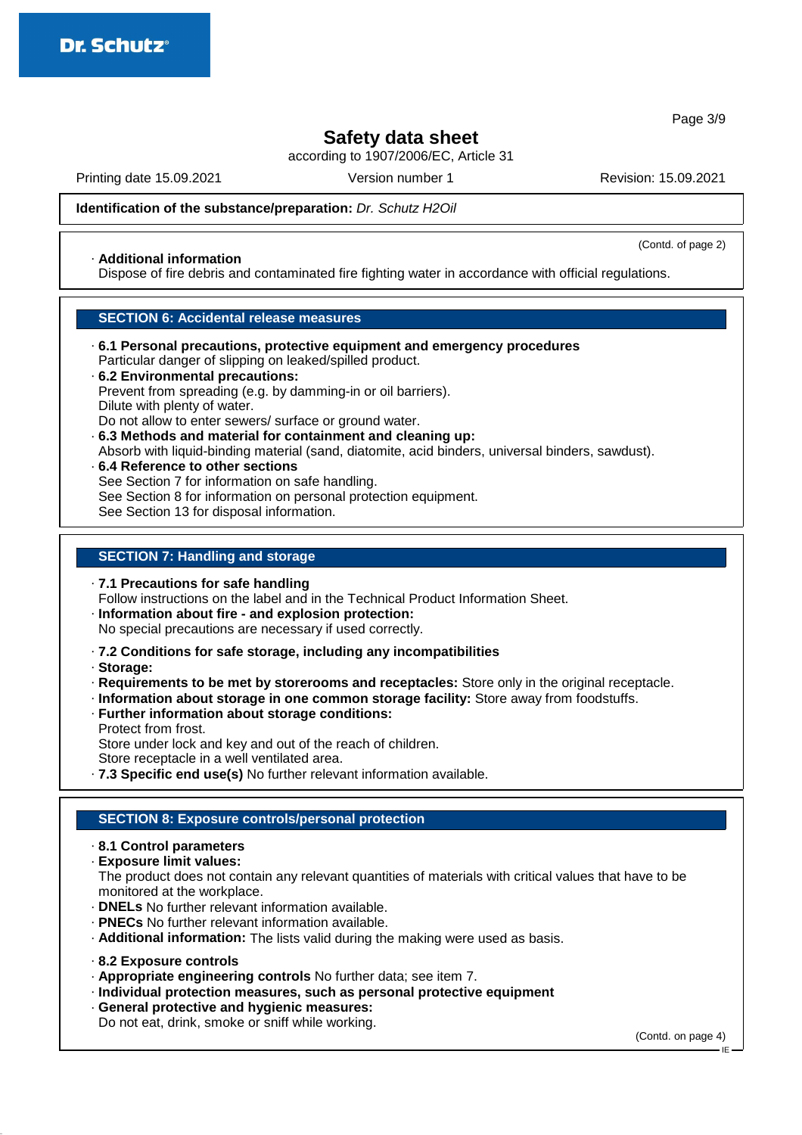Page 3/9

## **Safety data sheet**

according to 1907/2006/EC, Article 31

Printing date 15.09.2021 Version number 1 Revision: 15.09.2021

(Contd. of page 2)

**Identification of the substance/preparation:** Dr. Schutz H2Oil

## · **Additional information**

Dispose of fire debris and contaminated fire fighting water in accordance with official regulations.

### **SECTION 6: Accidental release measures**

- · **6.1 Personal precautions, protective equipment and emergency procedures** Particular danger of slipping on leaked/spilled product.
- · **6.2 Environmental precautions:** Prevent from spreading (e.g. by damming-in or oil barriers). Dilute with plenty of water. Do not allow to enter sewers/ surface or ground water.
- · **6.3 Methods and material for containment and cleaning up:** Absorb with liquid-binding material (sand, diatomite, acid binders, universal binders, sawdust).
- · **6.4 Reference to other sections** See Section 7 for information on safe handling. See Section 8 for information on personal protection equipment. See Section 13 for disposal information.

### **SECTION 7: Handling and storage**

· **7.1 Precautions for safe handling**

Follow instructions on the label and in the Technical Product Information Sheet.

- · **Information about fire and explosion protection:** No special precautions are necessary if used correctly.
- · **7.2 Conditions for safe storage, including any incompatibilities**
- · **Storage:**
- · **Requirements to be met by storerooms and receptacles:** Store only in the original receptacle.
- · **Information about storage in one common storage facility:** Store away from foodstuffs.
- · **Further information about storage conditions:** Protect from frost.

Store under lock and key and out of the reach of children.

Store receptacle in a well ventilated area.

· **7.3 Specific end use(s)** No further relevant information available.

### **SECTION 8: Exposure controls/personal protection**

- · **8.1 Control parameters**
- · **Exposure limit values:**

The product does not contain any relevant quantities of materials with critical values that have to be monitored at the workplace.

- · **DNELs** No further relevant information available.
- · **PNECs** No further relevant information available.
- · **Additional information:** The lists valid during the making were used as basis.
- · **8.2 Exposure controls**
- · **Appropriate engineering controls** No further data; see item 7.
- · **Individual protection measures, such as personal protective equipment**
- · **General protective and hygienic measures:** Do not eat, drink, smoke or sniff while working.

(Contd. on page 4)

IE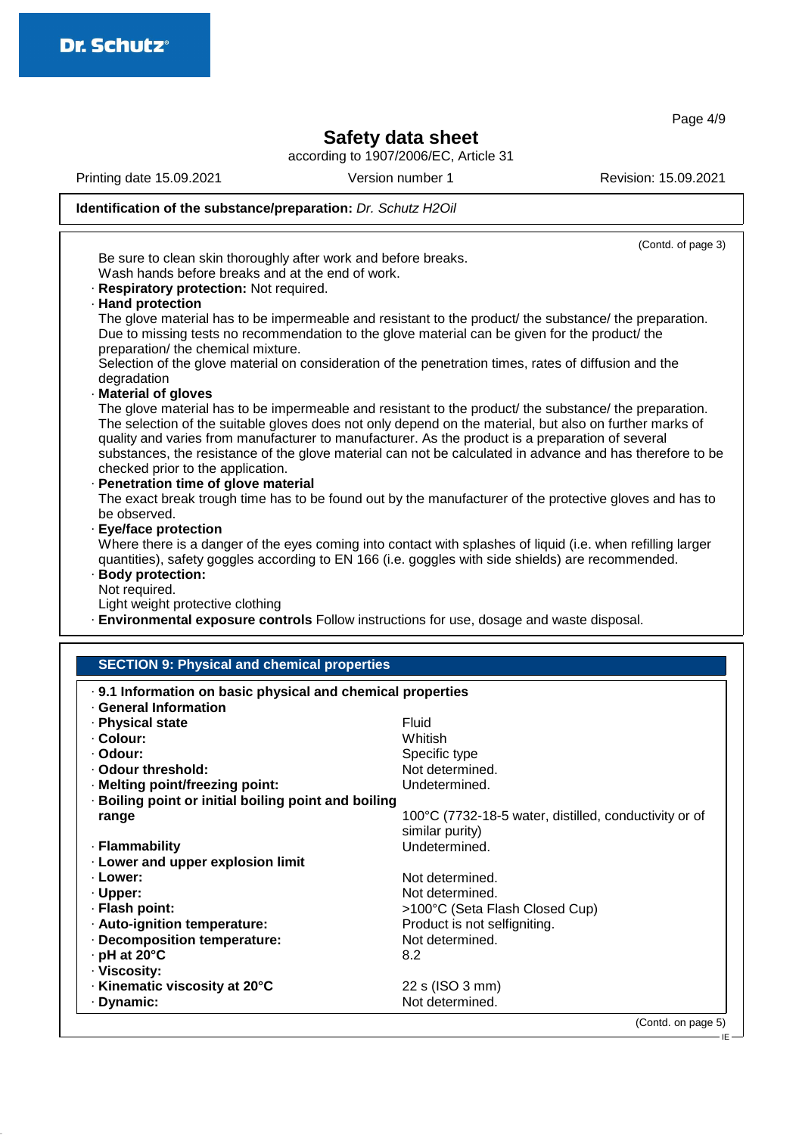Page 4/9

 $-E$ 

## **Safety data sheet**

according to 1907/2006/EC, Article 31

Printing date 15.09.2021 Version number 1 Revision: 15.09.2021

# **Identification of the substance/preparation:** Dr. Schutz H2Oil

|                                                                                                                                                                                                                                                                                                                                                             | (Contd. of page 3)                                                                                          |  |  |  |
|-------------------------------------------------------------------------------------------------------------------------------------------------------------------------------------------------------------------------------------------------------------------------------------------------------------------------------------------------------------|-------------------------------------------------------------------------------------------------------------|--|--|--|
| Be sure to clean skin thoroughly after work and before breaks.                                                                                                                                                                                                                                                                                              |                                                                                                             |  |  |  |
| Wash hands before breaks and at the end of work.                                                                                                                                                                                                                                                                                                            |                                                                                                             |  |  |  |
| · Respiratory protection: Not required.                                                                                                                                                                                                                                                                                                                     |                                                                                                             |  |  |  |
| · Hand protection                                                                                                                                                                                                                                                                                                                                           |                                                                                                             |  |  |  |
|                                                                                                                                                                                                                                                                                                                                                             | The glove material has to be impermeable and resistant to the product/ the substance/ the preparation.      |  |  |  |
|                                                                                                                                                                                                                                                                                                                                                             | Due to missing tests no recommendation to the glove material can be given for the product/ the              |  |  |  |
| preparation/ the chemical mixture.                                                                                                                                                                                                                                                                                                                          |                                                                                                             |  |  |  |
|                                                                                                                                                                                                                                                                                                                                                             |                                                                                                             |  |  |  |
|                                                                                                                                                                                                                                                                                                                                                             | Selection of the glove material on consideration of the penetration times, rates of diffusion and the       |  |  |  |
| degradation                                                                                                                                                                                                                                                                                                                                                 |                                                                                                             |  |  |  |
| Material of gloves                                                                                                                                                                                                                                                                                                                                          |                                                                                                             |  |  |  |
|                                                                                                                                                                                                                                                                                                                                                             | The glove material has to be impermeable and resistant to the product/ the substance/ the preparation.      |  |  |  |
|                                                                                                                                                                                                                                                                                                                                                             | The selection of the suitable gloves does not only depend on the material, but also on further marks of     |  |  |  |
|                                                                                                                                                                                                                                                                                                                                                             | quality and varies from manufacturer to manufacturer. As the product is a preparation of several            |  |  |  |
|                                                                                                                                                                                                                                                                                                                                                             | substances, the resistance of the glove material can not be calculated in advance and has therefore to be   |  |  |  |
| checked prior to the application.                                                                                                                                                                                                                                                                                                                           |                                                                                                             |  |  |  |
| · Penetration time of glove material                                                                                                                                                                                                                                                                                                                        |                                                                                                             |  |  |  |
|                                                                                                                                                                                                                                                                                                                                                             | The exact break trough time has to be found out by the manufacturer of the protective gloves and has to     |  |  |  |
| be observed.                                                                                                                                                                                                                                                                                                                                                |                                                                                                             |  |  |  |
| · Eye/face protection                                                                                                                                                                                                                                                                                                                                       |                                                                                                             |  |  |  |
|                                                                                                                                                                                                                                                                                                                                                             | Where there is a danger of the eyes coming into contact with splashes of liquid (i.e. when refilling larger |  |  |  |
|                                                                                                                                                                                                                                                                                                                                                             | quantities), safety goggles according to EN 166 (i.e. goggles with side shields) are recommended.           |  |  |  |
| · Body protection:                                                                                                                                                                                                                                                                                                                                          |                                                                                                             |  |  |  |
|                                                                                                                                                                                                                                                                                                                                                             |                                                                                                             |  |  |  |
|                                                                                                                                                                                                                                                                                                                                                             |                                                                                                             |  |  |  |
| Not required.                                                                                                                                                                                                                                                                                                                                               |                                                                                                             |  |  |  |
| Light weight protective clothing                                                                                                                                                                                                                                                                                                                            |                                                                                                             |  |  |  |
|                                                                                                                                                                                                                                                                                                                                                             | · Environmental exposure controls Follow instructions for use, dosage and waste disposal.                   |  |  |  |
|                                                                                                                                                                                                                                                                                                                                                             |                                                                                                             |  |  |  |
| <b>SECTION 9: Physical and chemical properties</b>                                                                                                                                                                                                                                                                                                          |                                                                                                             |  |  |  |
|                                                                                                                                                                                                                                                                                                                                                             |                                                                                                             |  |  |  |
|                                                                                                                                                                                                                                                                                                                                                             |                                                                                                             |  |  |  |
| . 9.1 Information on basic physical and chemical properties<br>· General Information                                                                                                                                                                                                                                                                        |                                                                                                             |  |  |  |
|                                                                                                                                                                                                                                                                                                                                                             | Fluid                                                                                                       |  |  |  |
|                                                                                                                                                                                                                                                                                                                                                             | Whitish                                                                                                     |  |  |  |
|                                                                                                                                                                                                                                                                                                                                                             | Specific type                                                                                               |  |  |  |
|                                                                                                                                                                                                                                                                                                                                                             | Not determined.                                                                                             |  |  |  |
|                                                                                                                                                                                                                                                                                                                                                             | Undetermined.                                                                                               |  |  |  |
|                                                                                                                                                                                                                                                                                                                                                             |                                                                                                             |  |  |  |
|                                                                                                                                                                                                                                                                                                                                                             |                                                                                                             |  |  |  |
| range                                                                                                                                                                                                                                                                                                                                                       | 100°C (7732-18-5 water, distilled, conductivity or of                                                       |  |  |  |
|                                                                                                                                                                                                                                                                                                                                                             | similar purity)                                                                                             |  |  |  |
|                                                                                                                                                                                                                                                                                                                                                             | Undetermined.                                                                                               |  |  |  |
|                                                                                                                                                                                                                                                                                                                                                             |                                                                                                             |  |  |  |
|                                                                                                                                                                                                                                                                                                                                                             | Not determined.                                                                                             |  |  |  |
|                                                                                                                                                                                                                                                                                                                                                             | Not determined.                                                                                             |  |  |  |
|                                                                                                                                                                                                                                                                                                                                                             | >100°C (Seta Flash Closed Cup)                                                                              |  |  |  |
|                                                                                                                                                                                                                                                                                                                                                             | Product is not selfigniting.                                                                                |  |  |  |
|                                                                                                                                                                                                                                                                                                                                                             | Not determined.                                                                                             |  |  |  |
|                                                                                                                                                                                                                                                                                                                                                             | 8.2                                                                                                         |  |  |  |
|                                                                                                                                                                                                                                                                                                                                                             |                                                                                                             |  |  |  |
| · Physical state<br>· Colour:<br>· Odour:<br>· Odour threshold:<br>· Melting point/freezing point:<br>· Boiling point or initial boiling point and boiling<br>· Flammability<br>· Lower and upper explosion limit<br>· Lower:<br>· Upper:<br>· Flash point:<br>· Auto-ignition temperature:<br>· Decomposition temperature:<br>· pH at 20°C<br>· Viscosity: |                                                                                                             |  |  |  |
| · Kinematic viscosity at 20°C<br>· Dynamic:                                                                                                                                                                                                                                                                                                                 | 22 s (ISO 3 mm)<br>Not determined.                                                                          |  |  |  |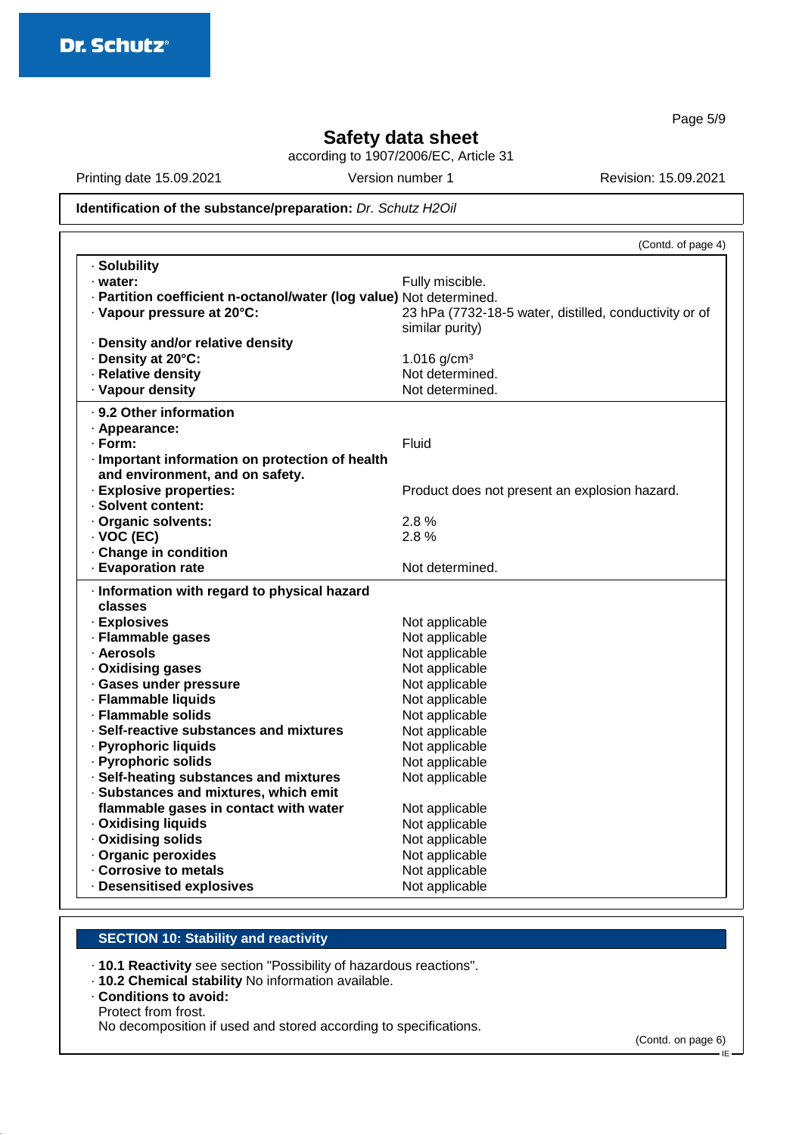Page 5/9

## **Safety data sheet**

according to 1907/2006/EC, Article 31

Printing date 15.09.2021 Version number 1 Revision: 15.09.2021

## **Identification of the substance/preparation:** Dr. Schutz H2Oil

|                                                                     | (Contd. of page 4)                                     |
|---------------------------------------------------------------------|--------------------------------------------------------|
| · Solubility                                                        |                                                        |
| · water:                                                            | Fully miscible.                                        |
| · Partition coefficient n-octanol/water (log value) Not determined. |                                                        |
| · Vapour pressure at 20°C:                                          | 23 hPa (7732-18-5 water, distilled, conductivity or of |
|                                                                     | similar purity)                                        |
| · Density and/or relative density                                   |                                                        |
| · Density at 20°C:                                                  | 1.016 $g/cm^{3}$                                       |
| · Relative density                                                  | Not determined.                                        |
| · Vapour density                                                    | Not determined.                                        |
| · 9.2 Other information                                             |                                                        |
| · Appearance:                                                       |                                                        |
| · Form:                                                             | Fluid                                                  |
| · Important information on protection of health                     |                                                        |
| and environment, and on safety.                                     |                                                        |
| · Explosive properties:                                             | Product does not present an explosion hazard.          |
| · Solvent content:                                                  |                                                        |
| · Organic solvents:                                                 | 2.8%                                                   |
| $\cdot$ VOC (EC)                                                    | 2.8%                                                   |
| Change in condition                                                 |                                                        |
| · Evaporation rate                                                  | Not determined.                                        |
| · Information with regard to physical hazard                        |                                                        |
| classes                                                             |                                                        |
| · Explosives                                                        | Not applicable                                         |
| · Flammable gases                                                   | Not applicable                                         |
| · Aerosols                                                          | Not applicable                                         |
| · Oxidising gases                                                   | Not applicable                                         |
| · Gases under pressure                                              | Not applicable                                         |
| · Flammable liquids                                                 | Not applicable                                         |
| · Flammable solids                                                  | Not applicable                                         |
| · Self-reactive substances and mixtures                             | Not applicable                                         |
| · Pyrophoric liquids                                                | Not applicable                                         |
| · Pyrophoric solids                                                 | Not applicable                                         |
| · Self-heating substances and mixtures                              | Not applicable                                         |
| · Substances and mixtures, which emit                               |                                                        |
| flammable gases in contact with water                               | Not applicable                                         |
| · Oxidising liquids                                                 | Not applicable                                         |
| · Oxidising solids                                                  | Not applicable                                         |
| · Organic peroxides                                                 | Not applicable                                         |
| Corrosive to metals                                                 | Not applicable                                         |
| · Desensitised explosives                                           | Not applicable                                         |

## **SECTION 10: Stability and reactivity**

· **10.1 Reactivity** see section "Possibility of hazardous reactions".

· **10.2 Chemical stability** No information available.

#### · **Conditions to avoid:** Protect from frost. No decomposition if used and stored according to specifications.

(Contd. on page 6)

IE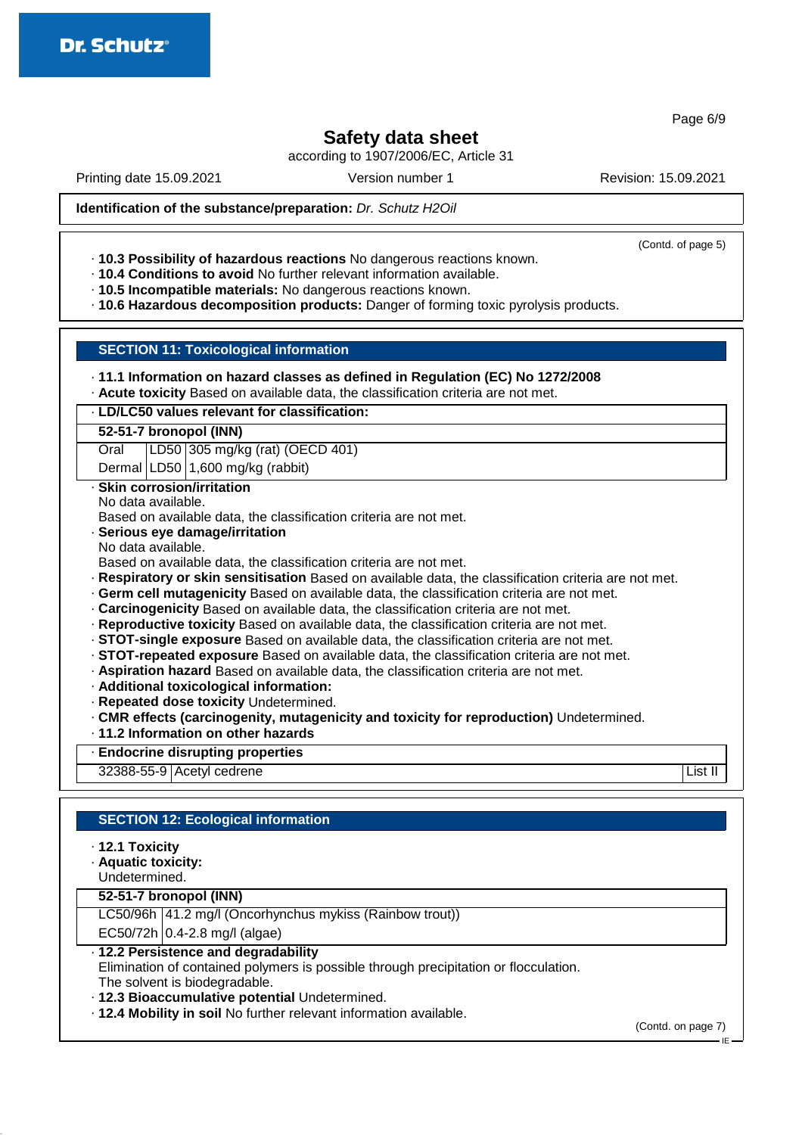Page 6/9

# **Safety data sheet**

according to 1907/2006/EC, Article 31

Printing date 15.09.2021 Version number 1 Revision: 15.09.2021

(Contd. of page 5)

**Identification of the substance/preparation:** Dr. Schutz H2Oil

· **10.3 Possibility of hazardous reactions** No dangerous reactions known.

- · **10.4 Conditions to avoid** No further relevant information available.
- · **10.5 Incompatible materials:** No dangerous reactions known.

· **10.6 Hazardous decomposition products:** Danger of forming toxic pyrolysis products.

### **SECTION 11: Toxicological information**

| $\cdot$ 11.1 Information on hazard classes as defined in Regulation (EC) No 1272/2008 |  |  |  |  |
|---------------------------------------------------------------------------------------|--|--|--|--|
|---------------------------------------------------------------------------------------|--|--|--|--|

· **Acute toxicity** Based on available data, the classification criteria are not met.

|  | · LD/LC50 values relevant for classification: |
|--|-----------------------------------------------|
|  |                                               |

#### **52-51-7 bronopol (INN)**

Oral LD50 305 mg/kg (rat) (OECD 401)

Dermal LD50 1,600 mg/kg (rabbit)

### · **Skin corrosion/irritation**

No data available.

Based on available data, the classification criteria are not met.

### · **Serious eye damage/irritation**

No data available.

Based on available data, the classification criteria are not met.

- · **Respiratory or skin sensitisation** Based on available data, the classification criteria are not met.
- · **Germ cell mutagenicity** Based on available data, the classification criteria are not met.
- · **Carcinogenicity** Based on available data, the classification criteria are not met.
- · **Reproductive toxicity** Based on available data, the classification criteria are not met.
- · **STOT-single exposure** Based on available data, the classification criteria are not met.
- · **STOT-repeated exposure** Based on available data, the classification criteria are not met.
- · **Aspiration hazard** Based on available data, the classification criteria are not met.
- · **Additional toxicological information:**
- · **Repeated dose toxicity** Undetermined.
- · **CMR effects (carcinogenity, mutagenicity and toxicity for reproduction)** Undetermined.
- · **11.2 Information on other hazards**

· **Endocrine disrupting properties**

32388-55-9 Acetyl cedrene List II

### **SECTION 12: Ecological information**

- · **12.1 Toxicity**
- · **Aquatic toxicity:**

Undetermined.

### **52-51-7 bronopol (INN)**

LC50/96h 41.2 mg/l (Oncorhynchus mykiss (Rainbow trout))

 $EC50/72h$  0.4-2.8 mg/l (algae)

## · **12.2 Persistence and degradability**

Elimination of contained polymers is possible through precipitation or flocculation. The solvent is biodegradable.

· **12.3 Bioaccumulative potential** Undetermined.

· **12.4 Mobility in soil** No further relevant information available.

(Contd. on page 7)

IE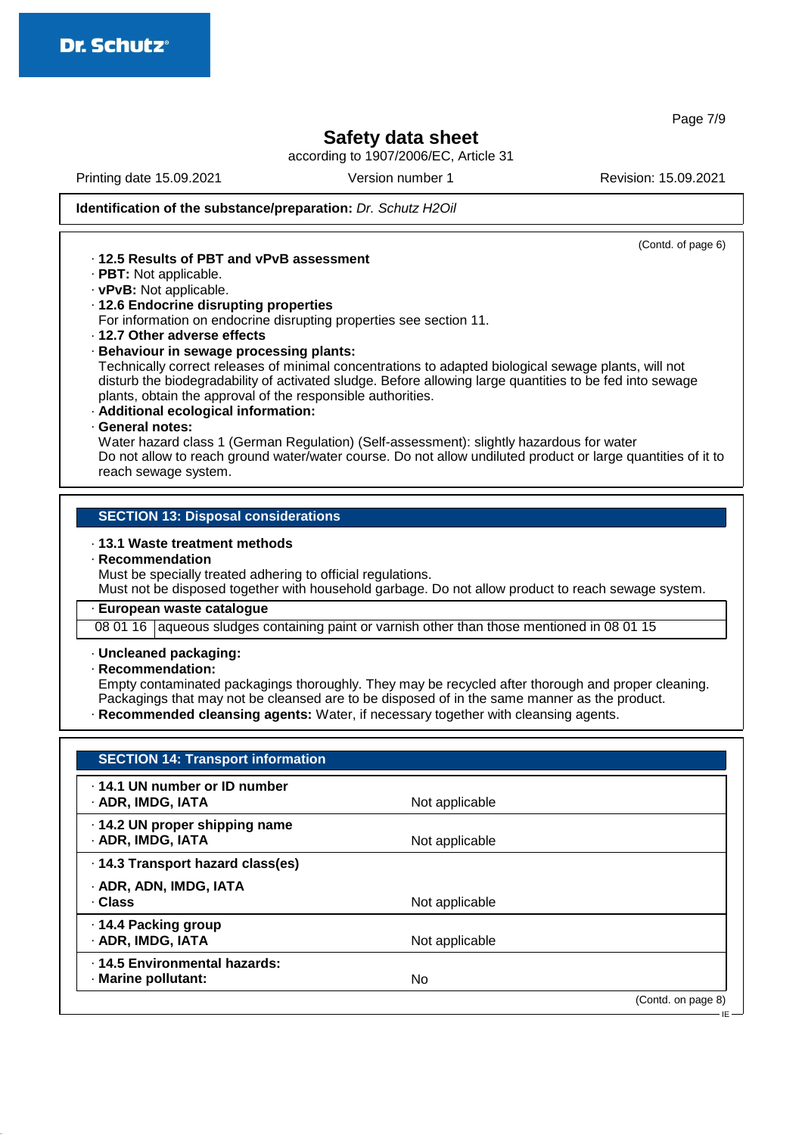**Safety data sheet**

according to 1907/2006/EC, Article 31

Printing date 15.09.2021 Version number 1 Revision: 15.09.2021

(Contd. of page 6)

IE

**Identification of the substance/preparation:** Dr. Schutz H2Oil

## · **12.5 Results of PBT and vPvB assessment**

- · **PBT:** Not applicable.
- · **vPvB:** Not applicable.

#### · **12.6 Endocrine disrupting properties**

For information on endocrine disrupting properties see section 11.

· **12.7 Other adverse effects**

#### · **Behaviour in sewage processing plants:**

Technically correct releases of minimal concentrations to adapted biological sewage plants, will not disturb the biodegradability of activated sludge. Before allowing large quantities to be fed into sewage plants, obtain the approval of the responsible authorities.

- · **Additional ecological information:**
- · **General notes:**

Water hazard class 1 (German Regulation) (Self-assessment): slightly hazardous for water Do not allow to reach ground water/water course. Do not allow undiluted product or large quantities of it to reach sewage system.

#### **SECTION 13: Disposal considerations**

#### · **13.1 Waste treatment methods**

· **Recommendation**

Must be specially treated adhering to official regulations.

Must not be disposed together with household garbage. Do not allow product to reach sewage system.

#### · **European waste catalogue**

08 01 16 aqueous sludges containing paint or varnish other than those mentioned in 08 01 15

#### · **Uncleaned packaging:**

· **Recommendation:**

Empty contaminated packagings thoroughly. They may be recycled after thorough and proper cleaning. Packagings that may not be cleansed are to be disposed of in the same manner as the product.

· **Recommended cleansing agents:** Water, if necessary together with cleansing agents.

| <b>SECTION 14: Transport information</b>             |                |                    |
|------------------------------------------------------|----------------|--------------------|
| . 14.1 UN number or ID number<br>· ADR, IMDG, IATA   | Not applicable |                    |
| .14.2 UN proper shipping name<br>· ADR, IMDG, IATA   | Not applicable |                    |
| · 14.3 Transport hazard class(es)                    |                |                    |
| · ADR, ADN, IMDG, IATA<br>· Class                    | Not applicable |                    |
| ⋅ 14.4 Packing group<br>· ADR, IMDG, IATA            | Not applicable |                    |
| · 14.5 Environmental hazards:<br>· Marine pollutant: | No             |                    |
|                                                      |                | (Contd. on page 8) |

Page 7/9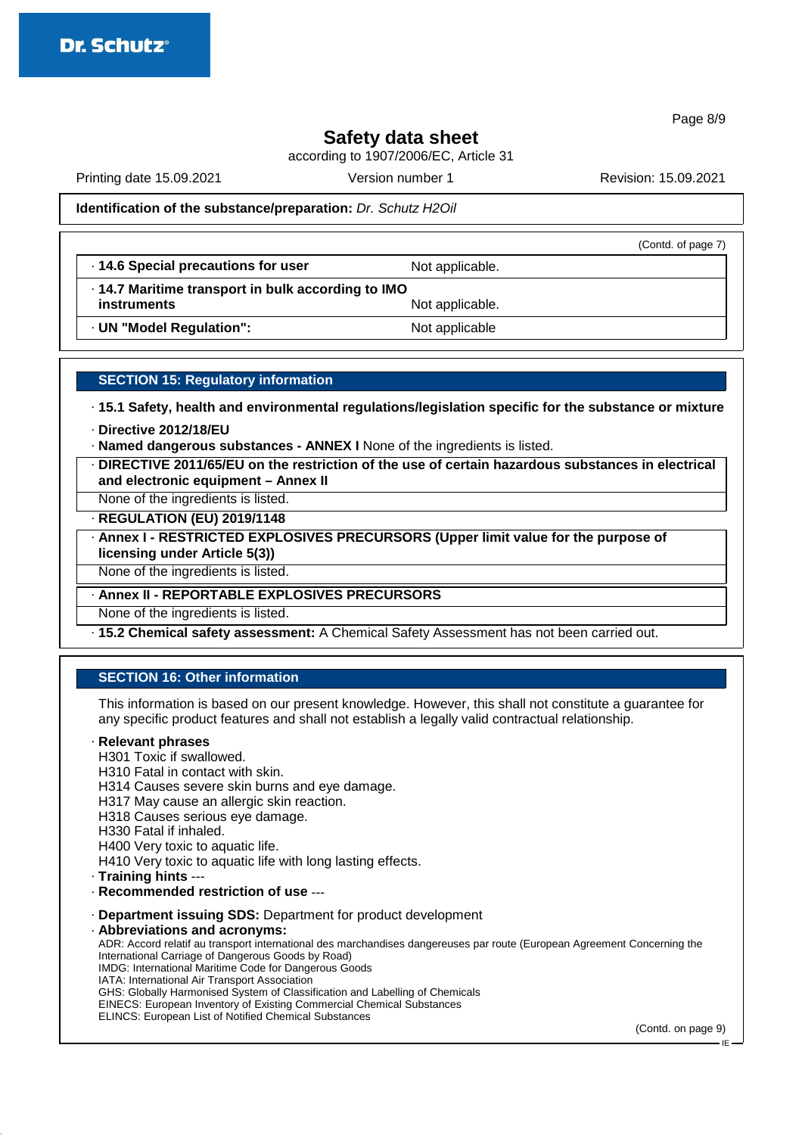Page 8/9

## **Safety data sheet**

according to 1907/2006/EC, Article 31

Printing date 15.09.2021 Version number 1 Revision: 15.09.2021

(Contd. of page 7)

### **Identification of the substance/preparation:** Dr. Schutz H2Oil

 $\cdot$  **14.6 Special precautions for user** Not applicable.

· **14.7 Maritime transport in bulk according to IMO instruments** Not applicable.

· **UN "Model Regulation":** Not applicable

### **SECTION 15: Regulatory information**

· **15.1 Safety, health and environmental regulations/legislation specific for the substance or mixture**

- · **Directive 2012/18/EU**
- · **Named dangerous substances ANNEX I** None of the ingredients is listed.
- · **DIRECTIVE 2011/65/EU on the restriction of the use of certain hazardous substances in electrical and electronic equipment – Annex II**

None of the ingredients is listed.

· **REGULATION (EU) 2019/1148**

· **Annex I - RESTRICTED EXPLOSIVES PRECURSORS (Upper limit value for the purpose of licensing under Article 5(3))**

None of the ingredients is listed.

· **Annex II - REPORTABLE EXPLOSIVES PRECURSORS**

None of the ingredients is listed.

· **15.2 Chemical safety assessment:** A Chemical Safety Assessment has not been carried out.

### **SECTION 16: Other information**

This information is based on our present knowledge. However, this shall not constitute a guarantee for any specific product features and shall not establish a legally valid contractual relationship.

#### · **Relevant phrases**

H301 Toxic if swallowed. H310 Fatal in contact with skin. H314 Causes severe skin burns and eye damage. H317 May cause an allergic skin reaction. H318 Causes serious eye damage. H330 Fatal if inhaled. H400 Very toxic to aquatic life. H410 Very toxic to aquatic life with long lasting effects. · **Training hints** --- · **Recommended restriction of use** --- · **Department issuing SDS:** Department for product development · **Abbreviations and acronyms:** ADR: Accord relatif au transport international des marchandises dangereuses par route (European Agreement Concerning the International Carriage of Dangerous Goods by Road) IMDG: International Maritime Code for Dangerous Goods IATA: International Air Transport Association GHS: Globally Harmonised System of Classification and Labelling of Chemicals

EINECS: European Inventory of Existing Commercial Chemical Substances

ELINCS: European List of Notified Chemical Substances

(Contd. on page 9)

IE